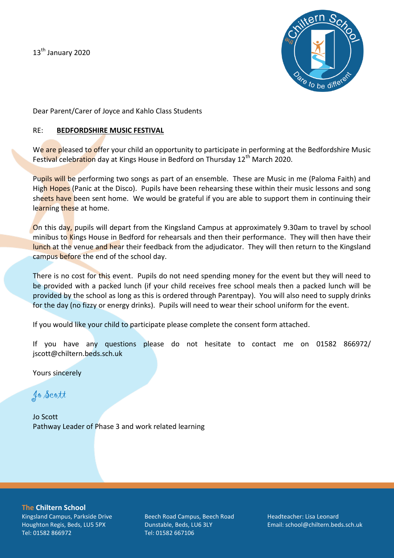13<sup>th</sup> January 2020



Dear Parent/Carer of Joyce and Kahlo Class Students

### RE: **BEDFORDSHIRE MUSIC FESTIVAL**

We are pleased to offer your child an opportunity to participate in performing at the Bedfordshire Music Festival celebration day at Kings House in Bedford on Thursday 12<sup>th</sup> March 2020.

Pupils will be performing two songs as part of an ensemble. These are Music in me (Paloma Faith) and High Hopes (Panic at the Disco). Pupils have been rehearsing these within their music lessons and song sheets have been sent home. We would be grateful if you are able to support them in continuing their learning these at home.

On this day, pupils will depart from the Kingsland Campus at approximately 9.30am to travel by school minibus to Kings House in Bedford for rehearsals and then their performance. They will then have their lunch at the venue and hear their feedback from the adjudicator. They will then return to the Kingsland campus before the end of the school day.

There is no cost for this event. Pupils do not need spending money for the event but they will need to be provided with a packed lunch (if your child receives free school meals then a packed lunch will be provided by the school as long as this is ordered through Parentpay). You will also need to supply drinks for the day (no fizzy or energy drinks). Pupils will need to wear their school uniform for the event.

If you would like your child to participate please complete the consent form attached.

If you have any questions please do not hesitate to contact me on 01582 866972/ jscott@chiltern.beds.sch.uk

Yours sincerely

Jo Scott

Jo Scott Pathway Leader of Phase 3 and work related learning

**The Chiltern School** Kingsland Campus, Parkside Drive Houghton Regis, Beds, LU5 5PX Tel: 01582 866972

Beech Road Campus, Beech Road Dunstable, Beds, LU6 3LY Tel: 01582 667106

Headteacher: Lisa Leonard Email: school@chiltern.beds.sch.uk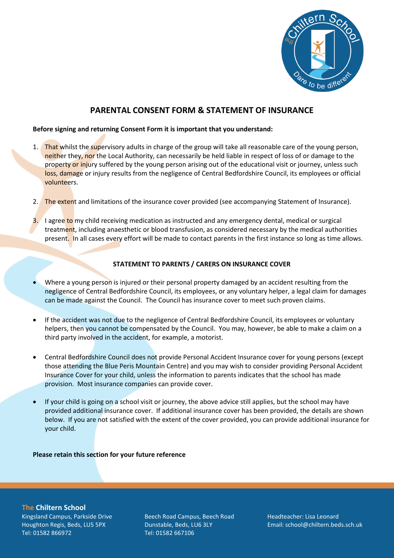

# **PARENTAL CONSENT FORM & STATEMENT OF INSURANCE**

#### **Before signing and returning Consent Form it is important that you understand:**

- 1. That whilst the supervisory adults in charge of the group will take all reasonable care of the young person, neither they, nor the Local Authority, can necessarily be held liable in respect of loss of or damage to the property or injury suffered by the young person arising out of the educational visit or journey, unless such loss, damage or injury results from the negligence of Central Bedfordshire Council, its employees or official volunteers.
- 2. The extent and limitations of the insurance cover provided (see accompanying Statement of Insurance).
- 3. I agree to my child receiving medication as instructed and any emergency dental, medical or surgical treatment, including anaesthetic or blood transfusion, as considered necessary by the medical authorities present. In all cases every effort will be made to contact parents in the first instance so long as time allows.

#### **STATEMENT TO PARENTS / CARERS ON INSURANCE COVER**

- Where a young person is injured or their personal property damaged by an accident resulting from the negligence of Central Bedfordshire Council, its employees, or any voluntary helper, a legal claim for damages can be made against the Council. The Council has insurance cover to meet such proven claims.
- If the accident was not due to the negligence of Central Bedfordshire Council, its employees or voluntary helpers, then you cannot be compensated by the Council. You may, however, be able to make a claim on a third party involved in the accident, for example, a motorist.
- Central Bedfordshire Council does not provide Personal Accident Insurance cover for young persons (except those attending the Blue Peris Mountain Centre) and you may wish to consider providing Personal Accident Insurance Cover for your child, unless the information to parents indicates that the school has made provision. Most insurance companies can provide cover.
- If your child is going on a school visit or journey, the above advice still applies, but the school may have provided additional insurance cover. If additional insurance cover has been provided, the details are shown below. If you are not satisfied with the extent of the cover provided, you can provide additional insurance for your child.

#### **Please retain this section for your future reference**

**The Chiltern School** Kingsland Campus, Parkside Drive Houghton Regis, Beds, LU5 5PX Tel: 01582 866972

Beech Road Campus, Beech Road Dunstable, Beds, LU6 3LY Tel: 01582 667106

Headteacher: Lisa Leonard Email: school@chiltern.beds.sch.uk